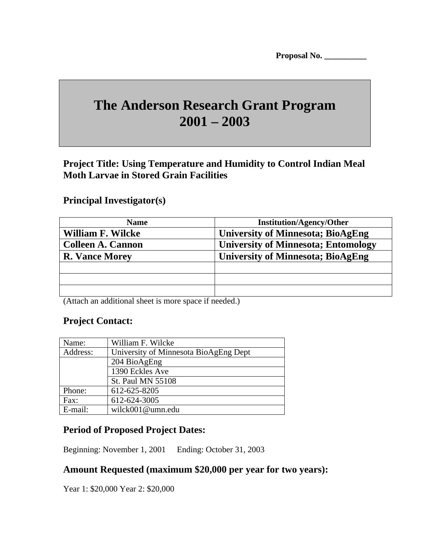# **The Anderson Research Grant Program 2001 – 2003**

**Project Title: Using Temperature and Humidity to Control Indian Meal Moth Larvae in Stored Grain Facilities**

#### **Principal Investigator(s)**

| <b>Name</b>              | <b>Institution/Agency/Other</b>            |
|--------------------------|--------------------------------------------|
| William F. Wilcke        | <b>University of Minnesota; BioAgEng</b>   |
| <b>Colleen A. Cannon</b> | <b>University of Minnesota; Entomology</b> |
| <b>R. Vance Morey</b>    | <b>University of Minnesota; BioAgEng</b>   |
|                          |                                            |
|                          |                                            |
|                          |                                            |

(Attach an additional sheet is more space if needed.)

## **Project Contact:**

| Name:    | William F. Wilcke                     |
|----------|---------------------------------------|
| Address: | University of Minnesota BioAgEng Dept |
|          | 204 BioAgEng                          |
|          | 1390 Eckles Ave                       |
|          | <b>St. Paul MN 55108</b>              |
| Phone:   | 612-625-8205                          |
| Fax:     | 612-624-3005                          |
| E-mail:  | wilck001@umn.edu                      |

## **Period of Proposed Project Dates:**

Beginning: November 1, 2001 Ending: October 31, 2003

## **Amount Requested (maximum \$20,000 per year for two years):**

Year 1: \$20,000 Year 2: \$20,000